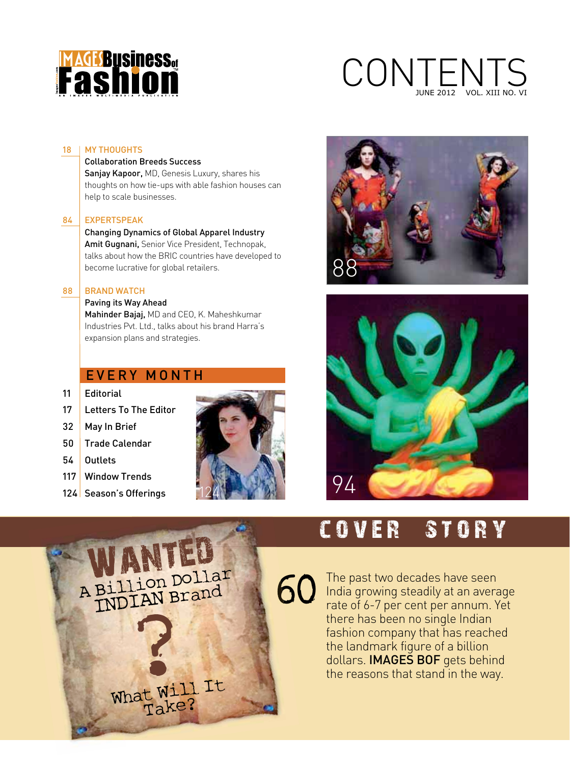

## CONTENTS JUNE 2012 VOL. XIII NO. VI

#### 18 | MY THOUGHTS

#### Collaboration Breeds Success

Sanjay Kapoor, MD, Genesis Luxury, shares his thoughts on how tie-ups with able fashion houses can help to scale businesses.

#### 84 EXPERTSPEAK

 Changing Dynamics of Global Apparel Industry Amit Gugnani, Senior Vice President, Technopak, talks about how the BRIC countries have developed to become lucrative for global retailers.

#### 88 | BRAND WATCH

#### Paving its Way Ahead

Mahinder Bajaj, MD and CEO, K. Maheshkumar Industries Pvt. Ltd., talks about his brand Harra's expansion plans and strategies.

> What Will It Take?

#### EVERY MONTH

- 11 | Fditorial
- 17 Letters To The Editor
- 32 May In Brief
- 50 Trade Calendar
- 54 Outlets
- 117 Window Trends
- 124 Season's Offerings







## COVER STORY

The past two decades have seen **60** The past two decades have seen<br> **60** India growing steadily at an average rate of 6-7 per cent per annum. Yet there has been no single Indian fashion company that has reached the landmark figure of a billion dollars. **IMAGES BOF** gets behind the reasons that stand in the way. NJANTED<br>A Billion Dollar<br>INDIAN Brand 60